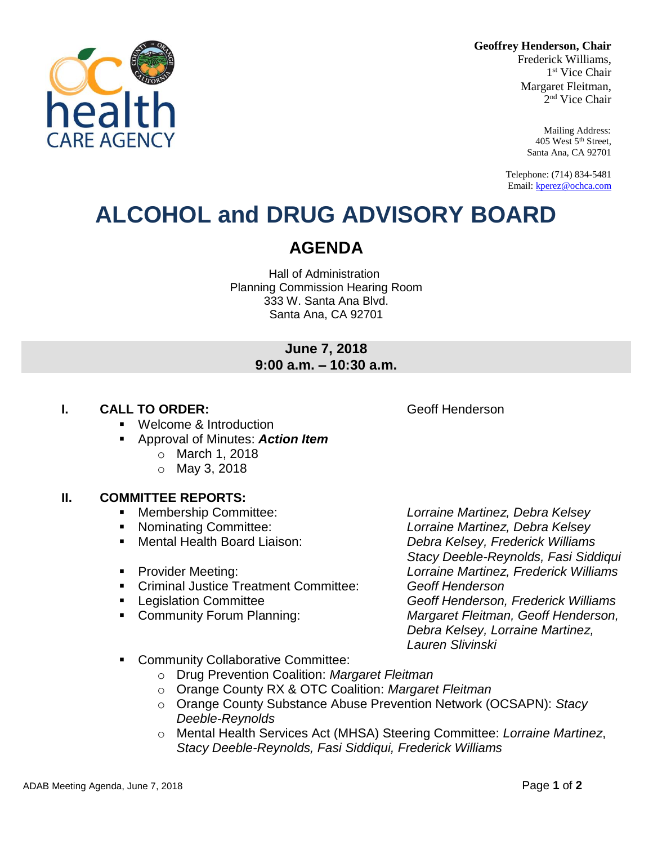**Geoffrey Henderson, Chair**

Frederick Williams, 1 st Vice Chair Margaret Fleitman, 2 nd Vice Chair

> Mailing Address: 405 West 5th Street, Santa Ana, CA 92701

Telephone: (714) 834-5481 Email[: kperez@ochca.com](mailto:kperez@ochca.com)

## **ALCOHOL and DRUG ADVISORY BOARD**

### **AGENDA**

Hall of Administration Planning Commission Hearing Room 333 W. Santa Ana Blvd. Santa Ana, CA 92701

#### **June 7, 2018 9:00 a.m. – 10:30 a.m.**

#### **I. CALL TO ORDER: CALL TO ORDER: CALL ACCESS Geoff Henderson**

- **Welcome & Introduction**
- Approval of Minutes: *Action Item*
	- o March 1, 2018
	- o May 3, 2018

#### **II. COMMITTEE REPORTS:**

- 
- 
- 
- 
- Criminal Justice Treatment Committee: *Geoff Henderson*
- 
- 

 Membership Committee: *Lorraine Martinez, Debra Kelsey* Nominating Committee: *Lorraine Martinez, Debra Kelsey* Mental Health Board Liaison: *Debra Kelsey, Frederick Williams Stacy Deeble-Reynolds, Fasi Siddiqui*  Provider Meeting: *Lorraine Martinez, Frederick Williams* Legislation Committee *Geoff Henderson, Frederick Williams* Community Forum Planning: *Margaret Fleitman, Geoff Henderson, Debra Kelsey, Lorraine Martinez, Lauren Slivinski*

- Community Collaborative Committee:
	- o Drug Prevention Coalition: *Margaret Fleitman*
	- o Orange County RX & OTC Coalition: *Margaret Fleitman*
	- o Orange County Substance Abuse Prevention Network (OCSAPN): *Stacy Deeble-Reynolds*
	- o Mental Health Services Act (MHSA) Steering Committee: *Lorraine Martinez*, *Stacy Deeble-Reynolds, Fasi Siddiqui, Frederick Williams*